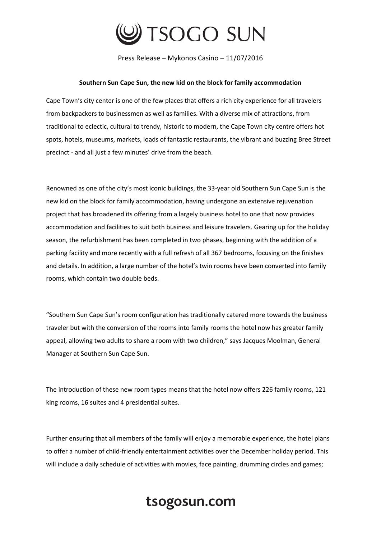

Press Release – Mykonos Casino – 11/07/2016

## **Southern Sun Cape Sun, the new kid on the block for family accommodation**

Cape Town's city center is one of the few places that offers a rich city experience for all travelers from backpackers to businessmen as well as families. With a diverse mix of attractions, from traditional to eclectic, cultural to trendy, historic to modern, the Cape Town city centre offers hot spots, hotels, museums, markets, loads of fantastic restaurants, the vibrant and buzzing Bree Street precinct - and all just a few minutes' drive from the beach.

Renowned as one of the city's most iconic buildings, the 33-year old Southern Sun Cape Sun is the new kid on the block for family accommodation, having undergone an extensive rejuvenation project that has broadened its offering from a largely business hotel to one that now provides accommodation and facilities to suit both business and leisure travelers. Gearing up for the holiday season, the refurbishment has been completed in two phases, beginning with the addition of a parking facility and more recently with a full refresh of all 367 bedrooms, focusing on the finishes and details. In addition, a large number of the hotel's twin rooms have been converted into family rooms, which contain two double beds.

"Southern Sun Cape Sun's room configuration has traditionally catered more towards the business traveler but with the conversion of the rooms into family rooms the hotel now has greater family appeal, allowing two adults to share a room with two children," says Jacques Moolman, General Manager at Southern Sun Cape Sun.

The introduction of these new room types means that the hotel now offers 226 family rooms, 121 king rooms, 16 suites and 4 presidential suites.

Further ensuring that all members of the family will enjoy a memorable experience, the hotel plans to offer a number of child-friendly entertainment activities over the December holiday period. This will include a daily schedule of activities with movies, face painting, drumming circles and games;

## tsogosun.com